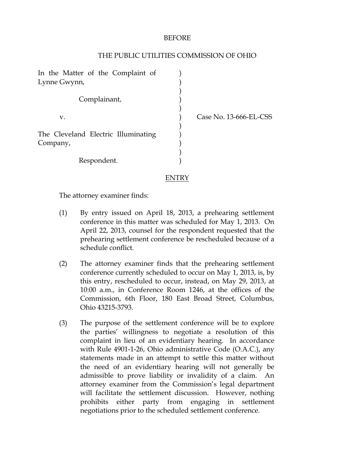## BEFORE

## THE PUBLIC UTILITIES COMMISSION OF OHIO

| In the Matter of the Complaint of   |  |
|-------------------------------------|--|
| Lynne Gwynn,                        |  |
|                                     |  |
| Complainant,                        |  |
|                                     |  |
| V.                                  |  |
|                                     |  |
| The Cleveland Electric Illuminating |  |
| Company,                            |  |
|                                     |  |
|                                     |  |
| Respondent.                         |  |

Case No. 13-666-EL-CSS

# ENTRY

The attorney examiner finds:

- (1) By entry issued on April 18, 2013, a prehearing settlement conference in this matter was scheduled for May 1, 2013. On April 22, 2013, counsel for the respondent requested that the prehearing settlement conference be rescheduled because of a schedule conflict.
- (2) The attorney examiner finds that the prehearing settlement conference currently scheduled to occur on May 1, 2013, is, by this entry, rescheduled to occur, instead, on May 29, 2013, at 10:00 a.m., in Conference Room 1246, at the offices of the Commission, 6th Floor, 180 East Broad Street, Columbus, Ohio 43215-3793.
- (3) The purpose of the settlement conference will be to explore the parties' willingness to negotiate a resolution of this complaint in lieu of an evidentiary hearing. In accordance with Rule 4901-1-26, Ohio administrative Code (O.A.C.), any statements made in an attempt to settle this matter without the need of an evidentiary hearing will not generally be admissible to prove liability or invalidity of a claim. An attorney examiner from the Commission's legal department will facilitate the settlement discussion. However, nothing prohibits either party from engaging in settlement negotiations prior to the scheduled settlement conference.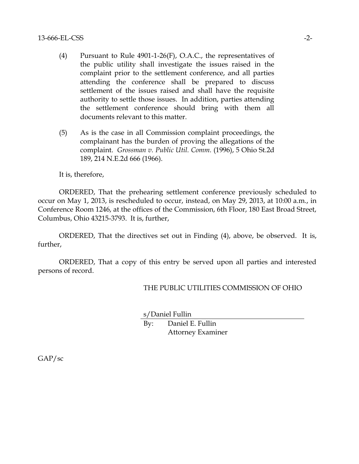#### $13-666$ -EL-CSS  $-2-$

- (4) Pursuant to Rule 4901-1-26(F), O.A.C., the representatives of the public utility shall investigate the issues raised in the complaint prior to the settlement conference, and all parties attending the conference shall be prepared to discuss settlement of the issues raised and shall have the requisite authority to settle those issues. In addition, parties attending the settlement conference should bring with them all documents relevant to this matter.
- (5) As is the case in all Commission complaint proceedings, the complainant has the burden of proving the allegations of the complaint. *Grossman v. Public Util. Comm.* (1996), 5 Ohio St.2d 189, 214 N.E.2d 666 (1966).

It is, therefore,

ORDERED, That the prehearing settlement conference previously scheduled to occur on May 1, 2013, is rescheduled to occur, instead, on May 29, 2013, at 10:00 a.m., in Conference Room 1246, at the offices of the Commission, 6th Floor, 180 East Broad Street, Columbus, Ohio 43215-3793. It is, further,

ORDERED, That the directives set out in Finding (4), above, be observed. It is, further,

ORDERED, That a copy of this entry be served upon all parties and interested persons of record.

# THE PUBLIC UTILITIES COMMISSION OF OHIO

s/Daniel Fullin

By: Daniel E. Fullin Attorney Examiner